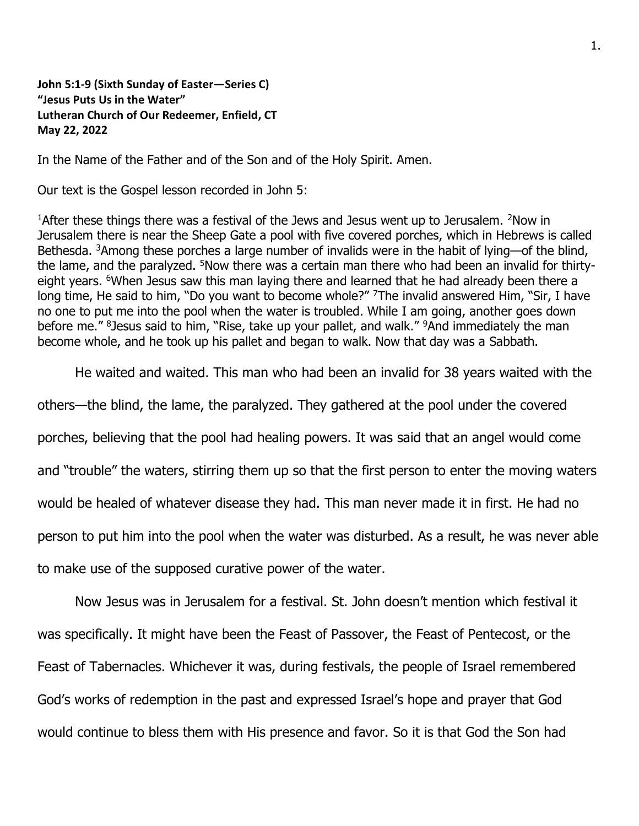**John 5:1-9 (Sixth Sunday of Easter—Series C) "Jesus Puts Us in the Water" Lutheran Church of Our Redeemer, Enfield, CT May 22, 2022**

In the Name of the Father and of the Son and of the Holy Spirit. Amen.

Our text is the Gospel lesson recorded in John 5:

<sup>1</sup>After these things there was a festival of the Jews and Jesus went up to Jerusalem. <sup>2</sup>Now in Jerusalem there is near the Sheep Gate a pool with five covered porches, which in Hebrews is called Bethesda. <sup>3</sup>Among these porches a large number of invalids were in the habit of lying—of the blind, the lame, and the paralyzed. <sup>5</sup>Now there was a certain man there who had been an invalid for thirtyeight years. <sup>6</sup>When Jesus saw this man laying there and learned that he had already been there a long time, He said to him, "Do you want to become whole?" <sup>7</sup>The invalid answered Him, "Sir, I have no one to put me into the pool when the water is troubled. While I am going, another goes down before me." <sup>8</sup>Jesus said to him, "Rise, take up your pallet, and walk." <sup>9</sup>And immediately the man become whole, and he took up his pallet and began to walk. Now that day was a Sabbath.

He waited and waited. This man who had been an invalid for 38 years waited with the

others—the blind, the lame, the paralyzed. They gathered at the pool under the covered porches, believing that the pool had healing powers. It was said that an angel would come and "trouble" the waters, stirring them up so that the first person to enter the moving waters would be healed of whatever disease they had. This man never made it in first. He had no person to put him into the pool when the water was disturbed. As a result, he was never able to make use of the supposed curative power of the water.

Now Jesus was in Jerusalem for a festival. St. John doesn't mention which festival it was specifically. It might have been the Feast of Passover, the Feast of Pentecost, or the Feast of Tabernacles. Whichever it was, during festivals, the people of Israel remembered God's works of redemption in the past and expressed Israel's hope and prayer that God would continue to bless them with His presence and favor. So it is that God the Son had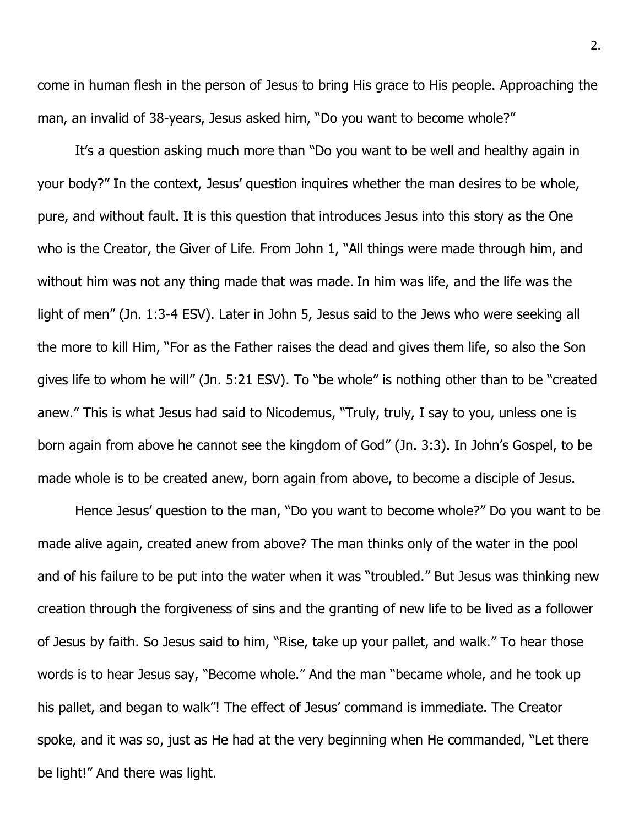come in human flesh in the person of Jesus to bring His grace to His people. Approaching the man, an invalid of 38-years, Jesus asked him, "Do you want to become whole?"

It's a question asking much more than "Do you want to be well and healthy again in your body?" In the context, Jesus' question inquires whether the man desires to be whole, pure, and without fault. It is this question that introduces Jesus into this story as the One who is the Creator, the Giver of Life. From John 1, "All things were made through him, and without him was not any thing made that was made. In him was life, and the life was the light of men" (Jn. 1:3-4 ESV). Later in John 5, Jesus said to the Jews who were seeking all the more to kill Him, "For as the Father raises the dead and gives them life, so also the Son gives life to whom he will" (Jn. 5:21 ESV). To "be whole" is nothing other than to be "created anew." This is what Jesus had said to Nicodemus, "Truly, truly, I say to you, unless one is born again from above he cannot see the kingdom of God" (Jn. 3:3). In John's Gospel, to be made whole is to be created anew, born again from above, to become a disciple of Jesus.

Hence Jesus' question to the man, "Do you want to become whole?" Do you want to be made alive again, created anew from above? The man thinks only of the water in the pool and of his failure to be put into the water when it was "troubled." But Jesus was thinking new creation through the forgiveness of sins and the granting of new life to be lived as a follower of Jesus by faith. So Jesus said to him, "Rise, take up your pallet, and walk." To hear those words is to hear Jesus say, "Become whole." And the man "became whole, and he took up his pallet, and began to walk"! The effect of Jesus' command is immediate. The Creator spoke, and it was so, just as He had at the very beginning when He commanded, "Let there be light!" And there was light.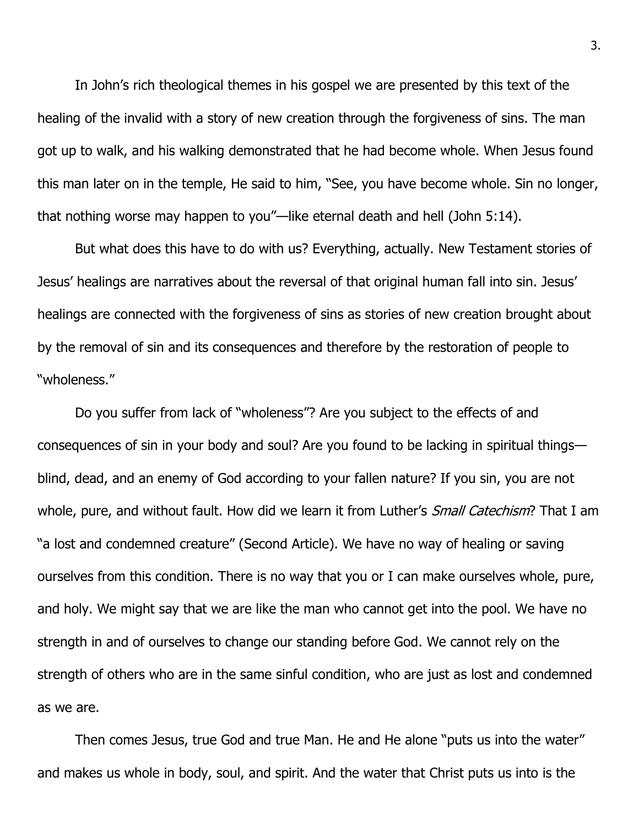In John's rich theological themes in his gospel we are presented by this text of the healing of the invalid with a story of new creation through the forgiveness of sins. The man got up to walk, and his walking demonstrated that he had become whole. When Jesus found this man later on in the temple, He said to him, "See, you have become whole. Sin no longer, that nothing worse may happen to you"—like eternal death and hell (John 5:14).

But what does this have to do with us? Everything, actually. New Testament stories of Jesus' healings are narratives about the reversal of that original human fall into sin. Jesus' healings are connected with the forgiveness of sins as stories of new creation brought about by the removal of sin and its consequences and therefore by the restoration of people to "wholeness."

Do you suffer from lack of "wholeness"? Are you subject to the effects of and consequences of sin in your body and soul? Are you found to be lacking in spiritual things blind, dead, and an enemy of God according to your fallen nature? If you sin, you are not whole, pure, and without fault. How did we learn it from Luther's Small Catechism? That I am "a lost and condemned creature" (Second Article). We have no way of healing or saving ourselves from this condition. There is no way that you or I can make ourselves whole, pure, and holy. We might say that we are like the man who cannot get into the pool. We have no strength in and of ourselves to change our standing before God. We cannot rely on the strength of others who are in the same sinful condition, who are just as lost and condemned as we are.

Then comes Jesus, true God and true Man. He and He alone "puts us into the water" and makes us whole in body, soul, and spirit. And the water that Christ puts us into is the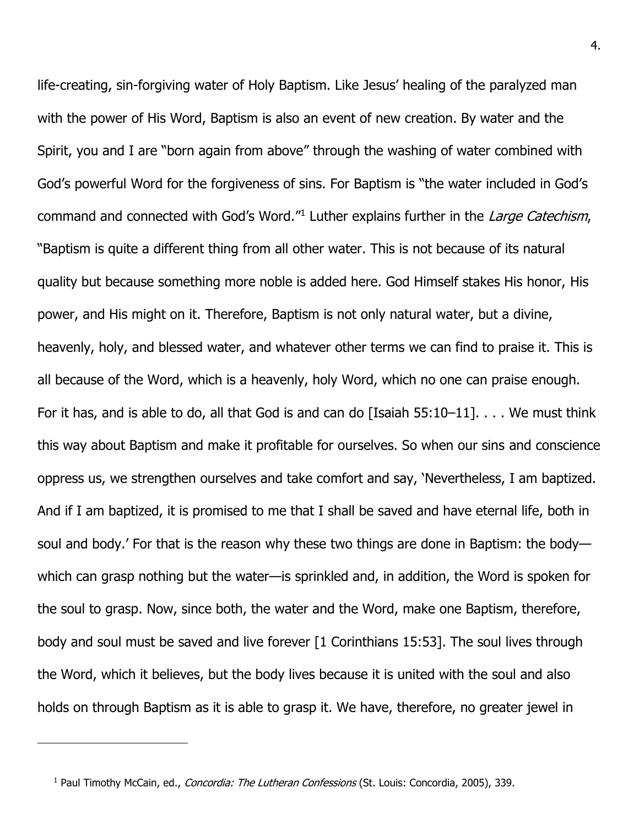life-creating, sin-forgiving water of Holy Baptism. Like Jesus' healing of the paralyzed man with the power of His Word, Baptism is also an event of new creation. By water and the Spirit, you and I are "born again from above" through the washing of water combined with God's powerful Word for the forgiveness of sins. For Baptism is "the water included in God's command and connected with God's Word."<sup>1</sup> Luther explains further in the Large Catechism, "Baptism is quite a different thing from all other water. This is not because of its natural quality but because something more noble is added here. God Himself stakes His honor, His power, and His might on it. Therefore, Baptism is not only natural water, but a divine, heavenly, holy, and blessed water, and whatever other terms we can find to praise it. This is all because of the Word, which is a heavenly, holy Word, which no one can praise enough. For it has, and is able to do, all that God is and can do [Isaiah 55:10–11]. . . . We must think this way about Baptism and make it profitable for ourselves. So when our sins and conscience oppress us, we strengthen ourselves and take comfort and say, 'Nevertheless, I am baptized. And if I am baptized, it is promised to me that I shall be saved and have eternal life, both in soul and body.' For that is the reason why these two things are done in Baptism: the body which can grasp nothing but the water—is sprinkled and, in addition, the Word is spoken for the soul to grasp. Now, since both, the water and the Word, make one Baptism, therefore, body and soul must be saved and live forever [1 Corinthians 15:53]. The soul lives through the Word, which it believes, but the body lives because it is united with the soul and also holds on through Baptism as it is able to grasp it. We have, therefore, no greater jewel in

<sup>&</sup>lt;sup>1</sup> Paul Timothy McCain, ed., *Concordia: The Lutheran Confessions* (St. Louis: Concordia, 2005), 339.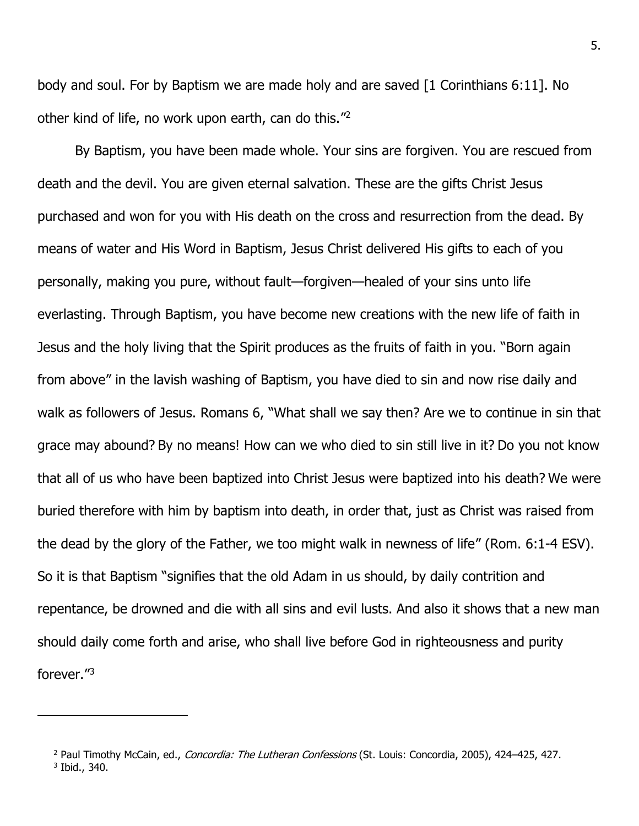body and soul. For by Baptism we are made holy and are saved [1 Corinthians 6:11]. No other kind of life, no work upon earth, can do this."<sup>2</sup>

By Baptism, you have been made whole. Your sins are forgiven. You are rescued from death and the devil. You are given eternal salvation. These are the gifts Christ Jesus purchased and won for you with His death on the cross and resurrection from the dead. By means of water and His Word in Baptism, Jesus Christ delivered His gifts to each of you personally, making you pure, without fault—forgiven—healed of your sins unto life everlasting. Through Baptism, you have become new creations with the new life of faith in Jesus and the holy living that the Spirit produces as the fruits of faith in you. "Born again from above" in the lavish washing of Baptism, you have died to sin and now rise daily and walk as followers of Jesus. Romans 6, "What shall we say then? Are we to continue in sin that grace may abound? By no means! How can we who died to sin still live in it? Do you not know that all of us who have been baptized into Christ Jesus were baptized into his death? We were buried therefore with him by baptism into death, in order that, just as Christ was raised from the dead by the glory of the Father, we too might walk in newness of life" (Rom. 6:1-4 ESV). So it is that Baptism "signifies that the old Adam in us should, by daily contrition and repentance, be drowned and die with all sins and evil lusts. And also it shows that a new man should daily come forth and arise, who shall live before God in righteousness and purity forever." 3

<sup>&</sup>lt;sup>2</sup> Paul Timothy McCain, ed., Concordia: The Lutheran Confessions (St. Louis: Concordia, 2005), 424-425, 427. 3 Ibid., 340.